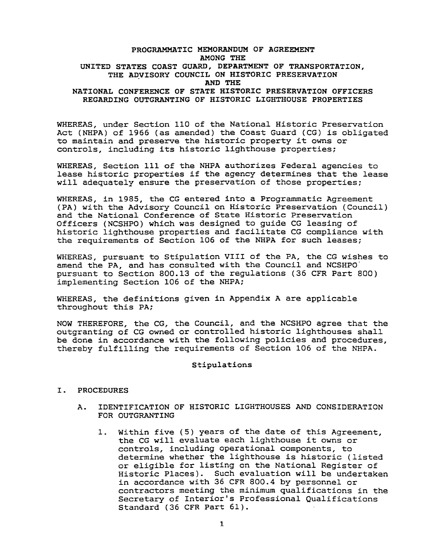# **PROGRAMMATIC MEMORANDUM OF AGREEMENT AMONG THE UNITED STATES COAST GUARD, DEPARTMENT OF TRANSPORTATION,**  THE ADVISORY COUNCIL ON HISTORIC PRESERVATION **AND THE NATIONAL CONFERENCE OF STATE HISTORIC PRESERVATION OFFICERS REGARDING OUTGRANTING OF HISTORIC LIGHTHOUSE PROPERTIES**

WHEREAS, under Section 110 of the National Historic Preservation Act (NHPA) of 1966 (as amended) the Coast Guard (CG) is obligated to maintain and preserve the historic property it owns or controls, including its historic lighthouse properties;

WHEREAS, Section 111 of the NHPA authorizes Federal agencies to lease historic properties if the agency determines that the lease will adequately ensure the preservation of those properties;

WHEREAS, in 1985, the CG entered into a Programmatic Agreement (PA) with the Advisory Council on Historic Preservation (Council) and the National Conference of State Historic Preservation Officers (NCSHPO) which was designed to guide CG leasing of historic lighthouse properties and facilitate CG compliance with the requirements of Section 106 of the NHPA for such leases;

WHEREAS, pursuant to Stipulation VIII of the PA, the CG wishes to amend the PA, and has consulted with the Council and NCSHPO<sup>-</sup> pursuant to Section 800.13 of the regulations (36 CFR Part 800) implementing Section 106 of the NHPA;

WHEREAS, the definitions given in Appendix A are applicable throughout this PA;

NOW THEREFORE, the CG, the Council, and the NCSHPO agree that the outgranting of CG owned or controlled historic lighthouses shall be done in accordance with the following policies and procedures, thereby fulfilling the requirements of Section 106 of the NHPA.

#### **Stipulations**

#### I. **PROCEDURES**

- **A. IDENTIFICATION OF HISTORIC LIGHTHOUSES AND CONSIDERATION FOR OUTGRANTING** 
	- 1. **Within** five (5) years of the date of this Agreement, the CG will evaluate each lighthouse it owns or controls, including operational components, to determine whether the lighthouse is historic (listed or eligible for listing on the National Register of Historic Places). Such evaluation will be undertaken in accordance with 36 CFR 800.4 by personnel or contractors meeting the minimum qualifications in the Secretary of Interior's Professional Qualifications **Standard (36 CFR Part 61).**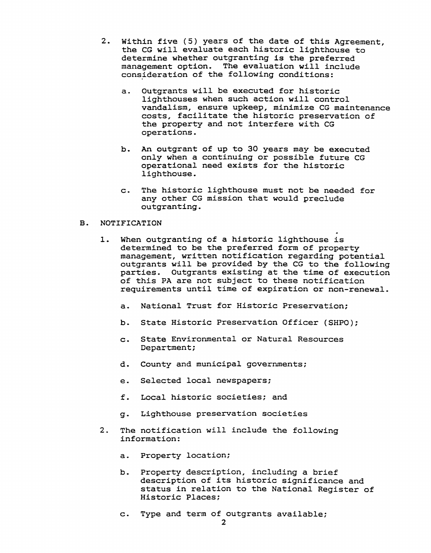- 2. Within five (5) years of the date of this Agreement, the CG will evaluate each historic lighthouse to determine whether outgranting is the preferred management option. The evaluation will include consideration of the following conditions:
	- a. Outgrants will be executed for historic lighthouses when such action will control vandalism, ensure upkeep, minimize CG maintenance costs, facilitate the historic preservation of the property and not interfere with CG operations.
	- b. An outgrant of up to 30 years may be executed only when a continuing or possible future CG operational need exists for the historic lighthouse.
	- c. The historic lighthouse must not be needed for any other CG mission that would preclude outgranting.

## B. **NOTIFICATION**

- l. When outgranting of a historic lighthouse is determined to be the preferred form of property management, written notification regarding potential outgrants will be provided by the CG to the following parties. Outgrants existing at the time of execution of this PA are not subject to these notification requirements until time of expiration or non-renewal.
	- a. National Trust for Historic Preservation;
	- b. State Historic Preservation Officer (SHPO);
	- c. State Environmental or Natural Resources Department;
	- d. County and municipal governments;
	- e. Selected local newspapers;
	- f. Local historic societies; and
	- g. Lighthouse preservation societies
- 2. The notification will include the following information:
	- a. Property location;
	- b. Property description, including a brief description of its historic significance and status in relation to the National Register of Historic Places;
	- c. Type and term of outgrants available;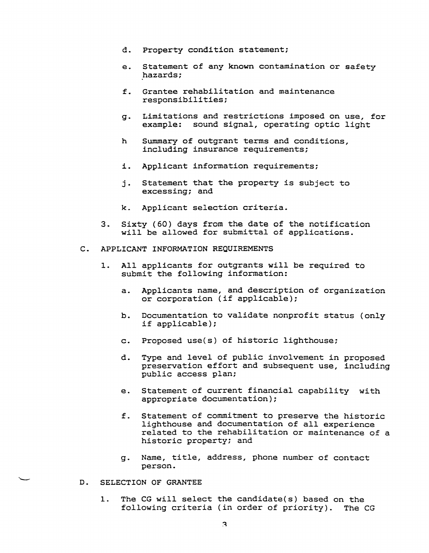- d. Property condition statement;
- e. Statement of any known contamination or safety hazards;
- f. Grantee rehabilitation and maintenance responsibilities;
- g. Limitations and restrictions imposed on use, £or example: sound signal, operating optic light
- h Summary of outgrant terms and conditions, including insurance requirements;
- i. Applicant information requirements;
- j. Statement that the property is subject to excessing; and
- k. Applicant selection criteria.
- 3. Sixty (60) days from the date of the notification will be allowed for submittal of applications.
- **C. APPLICANT INFORMATION REQUIREMENTS** 
	- 1. All applicants for outgrants will be required to submit the following information:
		- a. Applicants name, and description of organization or corporation (if applicable);
		- b. Documentation to validate nonprofit status (only if applicable);
		- c. Proposed use(s) of historic lighthouse;
		- d. Type and level of public involvement in proposed preservation effort and subsequent use, including public access plan;
		- e. Statement of current financial capability with appropriate documentation);
		- f. Statement of commitment to preserve the historic lighthouse and documentation of all experience related to the rehabilitation or maintenance of a historic property; and
		- g. Name, title, address, phone number of contact person.
- D. SELECTION OF GRANTEE
	- 1. The CG will select the candidate(s) based on the following criteria (in order of priority). The CG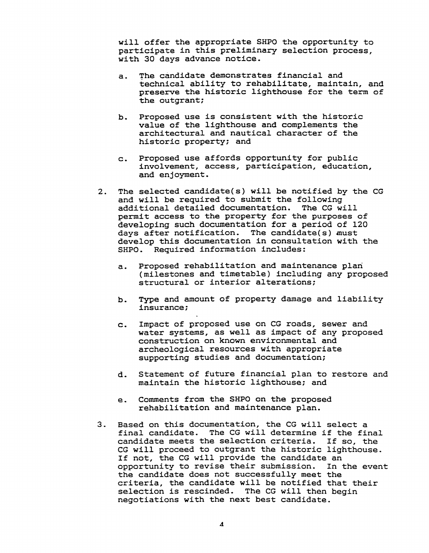will offer the appropriate SHPO the opportunity to participate in this preliminary selection process, with 30 days advance notice.

- a. The candidate demonstrates financial and technical ability to rehabilitate, maintain, and preserve the historic lighthouse for the term of the outgrant;
- b. Proposed use is consistent with the historic value of the lighthouse and complements the architectural and nautical character of the historic property; and
- c. Proposed use affords opportunity for public involvement, access, participation, education, and enjoyment.
- 2. The selected candidate(s) will be notified by the CG and will be required to submit the following additional detailed documentation. The CG will permit access to the property for the purposes of developing such documentation for a period of 120 days after notification. The candidate(s) must develop this documentation in consultation with the SHPO. Required information includes:
	- a. Proposed rehabilitation and maintenance plari (milestones and timetable) including any proposed structural or interior alterations;
	- b. Type and amount of property damage and liability insurance;
	- c. Impact of proposed use on CG roads, sewer and water systems, as well as impact of any proposed construction on known environmental and archeological resources with appropriate supporting studies and documentation;
	- d. Statement of future financial plan to restore and maintain the historic lighthouse; and
	- e. Comments from the SHPO on the proposed rehabilitation and maintenance plan.
- 3. Based on this documentation, the CG will select a final candidate. The CG will determine if the final candidate meets the selection criteria. If so, the CG will proceed to outgrant the historic lighthouse. If not, the CG will provide the candidate an opportunity to revise their submission. In the event the candidate does not successfully meet the criteria, the candidate will be notified that their selection is rescinded. The CG will then begin negotiations with the next best candidate.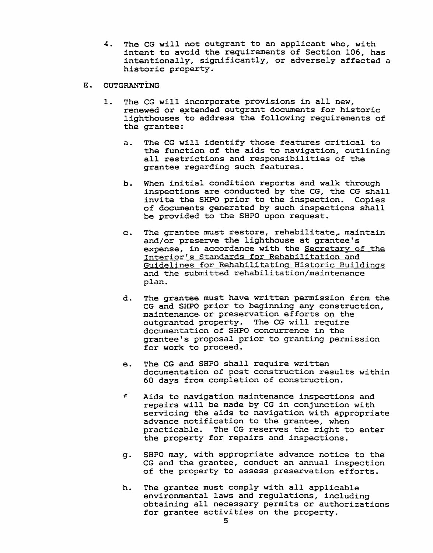- 4. The CG will not outgrant to an applicant who, with intent to avoid the requirements of Section 106, has intentionally, significantly, or adversely affected a historic property.
- E. **OUTGRANTING** 
	- 1. The CG will incorporate provisions in all new, renewed or extended outgrant documents for historic lighthouses to address the following requirements of the grantee:
		- a. The CG will identify those features critical to the function of the aids to navigation, outlining all restrictions and responsibilities of the grantee regarding such features.
		- b. When initial condition reports and walk through inspections are conducted by the CG, the CG shall invite the SHPO prior to the inspection. Copies of documents generated by such inspections shall be provided to the SHPO upon request.
		- c. The grantee must restore, rehabilitate, maintain and/or preserve the lighthouse at grantee's expense, in accordance **with** the Secretary of the Interior's Standards for Rehabilitation and Guidelines for Rehabilitating Historic Buildings and the submitted rehabilitation/maintenance plan.
		- d. The grantee must have written permission from the CG and SHPO prior to beginning any construction, maintenance- or preservation efforts on the outgranted property. The CG will require documentation of SHPO concurrence in the grantee's proposal prior to granting permission for work to proceed.
		- e. The CG and SHPO shall require written documentation of post construction results within 60 days from completion of construction.
		- $\pmb{\epsilon}$ Aids to navigation maintenance inspections and repairs will be made by CG in conjunction with servicing the aids to navigation with appropriate advance notification to the grantee, when practicable. The CG reserves the right to enter the property for repairs and inspections.
		- g. SHPO may, with appropriate advance notice to the CG and the grantee, conduct an annual inspection of the property to assess preservation efforts.
		- h. The grantee must comply with all applicable environmental laws and regulations, including obtaining all necessary permits or authorizations for grantee activities on the property.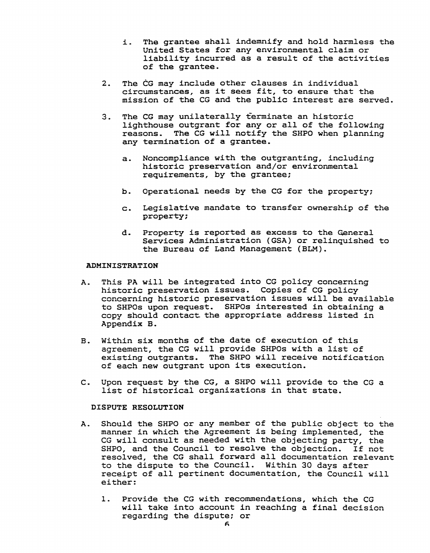- i. **The** grantee sha11 indemnify and ho1d harmless the United States for any environmental claim or liability incurred as a result of the activities of the grantee.
- 2. The CG may include other clauses in individual circumstances, as it sees fit, to ensure that the mission of the CG and the public interest are served.
- 3. The CG may unilaterally terminate an historic lighthouse outgrant for any or all of the following reasons. The CG will notify the SHPO when planning any termination of a grantee.
	- a. Noncompliance with the outgranting, including historic preservation and/or environmental requirements, by the grantee;
	- b. Operational needs by the CG for the property;
	- c. Legislative mandate to transfer ownership of the property;
	- d. Property is reported as excess to the General Services Administration (GSA) or relinquished to the Bureau of Land Management (ELM).

#### **ADMINISTRATION**

- A. This PA will be integrated into CG policy concerning historic preservation issues. Copies of CG policy concerning historic preservation issues will be available to SHPOs upon request. SHPOs interested in obtaining a copy should contact the appropriate address listed in Appendix B.
- B. Within six months of the date of execution of this agreement, the CG will provide SHPOs with a list of existing outgrants. The SHPO will receive notification of each new outgrant upon its execution.
- C. Upon request by the CG, a SHPO will provide to the CG a list of historical organizations *in* that state.

# **DISPUTE RESOLUTION**

- A. Should the SHPO or any member of the public object to the manner in which the Agreement is being implemented, the CG will consult as needed with the objecting party, the SHPO, and the Council to resolve the objection. If not reso1ved, the CG shal1 forward all documentation relevant to the dispute to the Council. Within 30 days after receipt of all pertinent documentation, the Council will either:
	- 1. Provide the CG with recommendations, which the CG will take into account in reaching a final decision regarding the dispute; or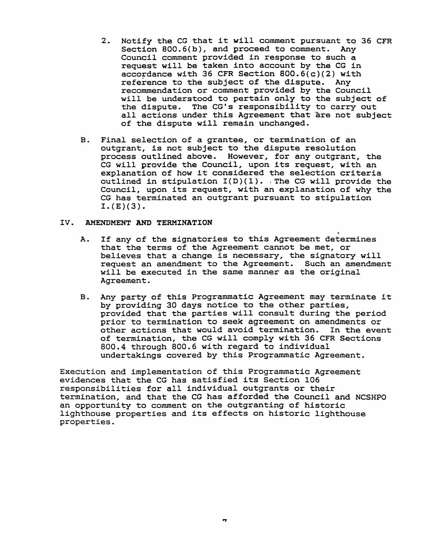- 2. Notify the CG that it will comment pursuant to 36 CFR Section 800.6(b), and proceed to comment. Any Council comment provided in response to such a request will be taken into account by the CG in accordance with 36 CFR Section 800.6(c)(2) with reference to the subject of the dispute. Any recommendation or comment provided by the Council will be understood to pertain only to the subject of the dispute. The CG's responsibility to carry out all actions under this Agreement that are not subject of the dispute will remain unchanged.
- B. Final selection of a grantee, or termination of an outgrant, is not subject to the dispute resolution process outlined above. However, for any outgrant, the CG will provide the Council, upon its request, with an explanation of how it considered the selection criteria outlined in stipulation  $I(D)(1)$ . The CG will provide the Council, upon its request, with an explanation of why the CG has terminated an outgrant pursuant to stipulation **I.(E)(3).**

## **IV. AMENDMENT AND TERMINATION**

- A. If any of the signatories to this Agreement determines that the terms of the Agreement cannot be met, or believes that a change is necessary, the signatory will request an amendment to the Agreement. Such an amendment will be executed in the same manner as the original Agreement.
- B. Any party of this Programmatic Agreement may terminate it by providing 30 days notice to the other parties, provided that the parties will consult during the period prior to termination to seek agreement on amendments or other actions that would avoid termination. In the event of termination, the CG will comply with 36 CFR Sections 800.4 through 800.6 with regard to individual undertakings covered by this Programmatic Agreement.

Execution and implementation of this Programmatic Agreement evidences that the CG has satisfied its Section 106 responsibilities for all individual outgrants or their termination, and that the CG has afforded the Council and NCSHP0 an opportunity to comment on the outgranting of historic lighthouse properties and its effects on historic lighthouse properties.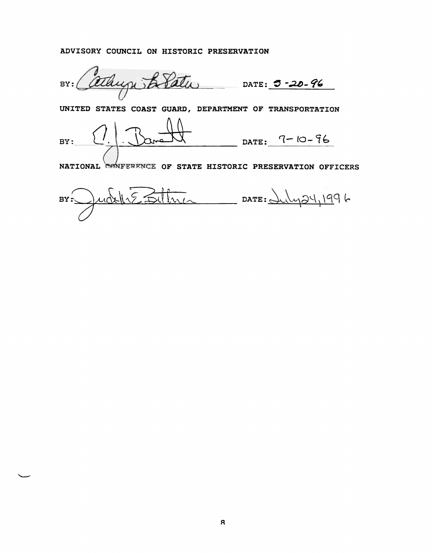# ADVISORY COUNCIL ON HISTORIC PRESERVATION

BY: athugh B Path DATE: **5-20-96** 

UNITED STATES COAST GUARD, DEPARTMENT OF TRANSPORTATION

DATE:  $7-10-96$  $BY:$ 

NATIONAL CONFERENCE OF STATE HISTORIC PRESERVATION OFFICERS

udelle Billiner DATE: Suly 24, 1996  $BY$ :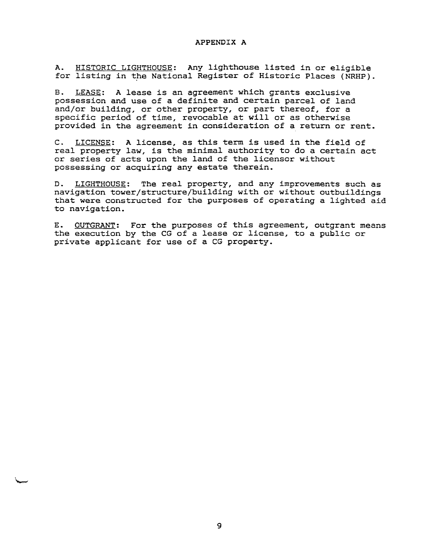## **APPENDIX A**

A. HISTORIC LIGHTHOUSE: Any lighthouse listed in or eligible for listing in the National Register of Historic Places (NRHP).

B. LEASE: A lease is an agreement which grants exclusive possession and use of a definite and certain parcel of land and/or building, or other property, or part thereof, for a specific period of time, revocable at will or as otherwise provided in the agreement in consideration of a return or rent.

C. LICENSE: A license, as this term is used in the field of real property law, is the minimal authority to do a certain act or series of acts upon the land of the licensor without possessing or acquiring any estate therein.

D. LIGHTHOUSE: The real property, and any improvements such as navigation tower/structure/building with or without outbuildings that were constructed for the purposes of operating a lighted aid to navigation.

E. OUTGRANT: For the purposes of this agreement, outgrant means the execution by the CG of a lease or license, to a public or private applicant for use of a CG property.